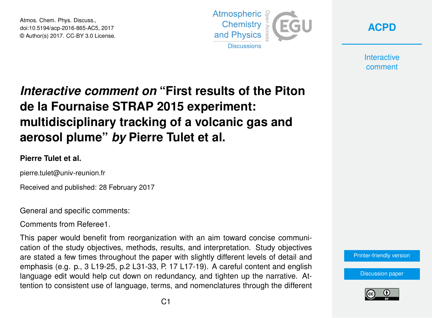Atmos. Chem. Phys. Discuss., doi:10.5194/acp-2016-865-AC5, 2017 © Author(s) 2017. CC-BY 3.0 License.





**Interactive** comment

# *Interactive comment on* **"First results of the Piton de la Fournaise STRAP 2015 experiment: multidisciplinary tracking of a volcanic gas and aerosol plume"** *by* **Pierre Tulet et al.**

### **Pierre Tulet et al.**

pierre.tulet@univ-reunion.fr

Received and published: 28 February 2017

General and specific comments:

Comments from Referee1.

This paper would benefit from reorganization with an aim toward concise communication of the study objectives, methods, results, and interpretation. Study objectives are stated a few times throughout the paper with slightly different levels of detail and emphasis (e.g. p., 3 L19-25, p.2 L31-33, P. 17 L17-19). A careful content and english language edit would help cut down on redundancy, and tighten up the narrative. Attention to consistent use of language, terms, and nomenclatures through the different

[Printer-friendly version](http://www.atmos-chem-phys-discuss.net/acp-2016-865/acp-2016-865-AC5-print.pdf)

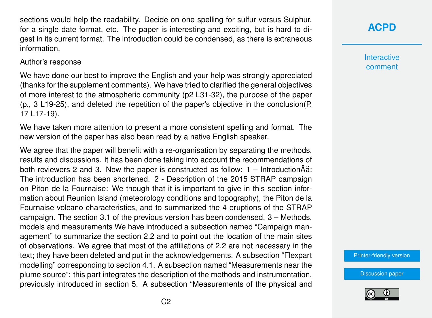sections would help the readability. Decide on one spelling for sulfur versus Sulphur, for a single date format, etc. The paper is interesting and exciting, but is hard to digest in its current format. The introduction could be condensed, as there is extraneous information.

#### Author's response

We have done our best to improve the English and your help was strongly appreciated (thanks for the supplement comments). We have tried to clarified the general objectives of more interest to the atmospheric community (p2 L31-32), the purpose of the paper (p., 3 L19-25), and deleted the repetition of the paper's objective in the conclusion(P. 17 L17-19).

We have taken more attention to present a more consistent spelling and format. The new version of the paper has also been read by a native English speaker.

We agree that the paper will benefit with a re-organisation by separating the methods, results and discussions. It has been done taking into account the recommendations of both reviewers 2 and 3. Now the paper is constructed as follow:  $1 -$  Introduction $\hat{A}$ ation. The introduction has been shortened. 2 - Description of the 2015 STRAP campaign on Piton de la Fournaise: We though that it is important to give in this section information about Reunion Island (meteorology conditions and topography), the Piton de la Fournaise volcano characteristics, and to summarized the 4 eruptions of the STRAP campaign. The section 3.1 of the previous version has been condensed. 3 – Methods, models and measurements We have introduced a subsection named "Campaign management" to summarize the section 2.2 and to point out the location of the main sites of observations. We agree that most of the affiliations of 2.2 are not necessary in the text; they have been deleted and put in the acknowledgements. A subsection "Flexpart modelling" corresponding to section 4.1. A subsection named "Measurements near the plume source": this part integrates the description of the methods and instrumentation, previously introduced in section 5. A subsection "Measurements of the physical and

## **[ACPD](http://www.atmos-chem-phys-discuss.net/)**

**Interactive** comment

[Printer-friendly version](http://www.atmos-chem-phys-discuss.net/acp-2016-865/acp-2016-865-AC5-print.pdf)

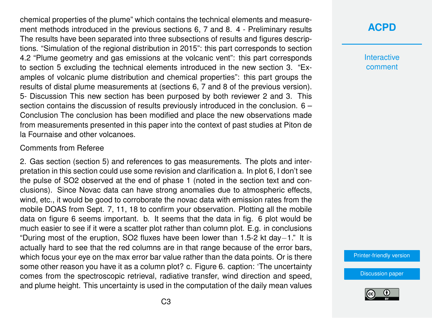chemical properties of the plume" which contains the technical elements and measurement methods introduced in the previous sections 6, 7 and 8. 4 - Preliminary results The results have been separated into three subsections of results and figures descriptions. "Simulation of the regional distribution in 2015": this part corresponds to section 4.2 "Plume geometry and gas emissions at the volcanic vent": this part corresponds to section 5 excluding the technical elements introduced in the new section 3. "Examples of volcanic plume distribution and chemical properties": this part groups the results of distal plume measurements at (sections 6, 7 and 8 of the previous version). 5- Discussion This new section has been purposed by both reviewer 2 and 3. This section contains the discussion of results previously introduced in the conclusion. 6 – Conclusion The conclusion has been modified and place the new observations made from measurements presented in this paper into the context of past studies at Piton de la Fournaise and other volcanoes.

#### Comments from Referee

2. Gas section (section 5) and references to gas measurements. The plots and interpretation in this section could use some revision and clarification a. In plot 6, I don't see the pulse of SO2 observed at the end of phase 1 (noted in the section text and conclusions). Since Novac data can have strong anomalies due to atmospheric effects, wind, etc., it would be good to corroborate the novac data with emission rates from the mobile DOAS from Sept. 7, 11, 18 to confirm your observation. Plotting all the mobile data on figure 6 seems important. b. It seems that the data in fig. 6 plot would be much easier to see if it were a scatter plot rather than column plot. E.g. in conclusions "During most of the eruption, SO2 fluxes have been lower than 1.5-2 kt day−1." It is actually hard to see that the red columns are in that range because of the error bars, which focus your eye on the max error bar value rather than the data points. Or is there some other reason you have it as a column plot? c. Figure 6. caption: 'The uncertainty comes from the spectroscopic retrieval, radiative transfer, wind direction and speed, and plume height. This uncertainty is used in the computation of the daily mean values

### **[ACPD](http://www.atmos-chem-phys-discuss.net/)**

**Interactive** comment

[Printer-friendly version](http://www.atmos-chem-phys-discuss.net/acp-2016-865/acp-2016-865-AC5-print.pdf)

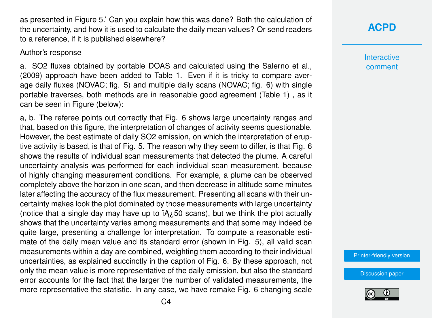as presented in Figure 5.' Can you explain how this was done? Both the calculation of the uncertainty, and how it is used to calculate the daily mean values? Or send readers to a reference, if it is published elsewhere?

Author's response

a. SO2 fluxes obtained by portable DOAS and calculated using the Salerno et al., (2009) approach have been added to Table 1. Even if it is tricky to compare average daily fluxes (NOVAC; fig. 5) and multiple daily scans (NOVAC; fig. 6) with single portable traverses, both methods are in reasonable good agreement (Table 1) , as it can be seen in Figure (below):

a, b. The referee points out correctly that Fig. 6 shows large uncertainty ranges and that, based on this figure, the interpretation of changes of activity seems questionable. However, the best estimate of daily SO2 emission, on which the interpretation of eruptive activity is based, is that of Fig. 5. The reason why they seem to differ, is that Fig. 6 shows the results of individual scan measurements that detected the plume. A careful uncertainty analysis was performed for each individual scan measurement, because of highly changing measurement conditions. For example, a plume can be observed completely above the horizon in one scan, and then decrease in altitude some minutes later affecting the accuracy of the flux measurement. Presenting all scans with their uncertainty makes look the plot dominated by those measurements with large uncertainty (notice that a single day may have up to  $iA \lambda$ <sub>50</sub> scans), but we think the plot actually shows that the uncertainty varies among measurements and that some may indeed be quite large, presenting a challenge for interpretation. To compute a reasonable estimate of the daily mean value and its standard error (shown in Fig. 5), all valid scan measurements within a day are combined, weighting them according to their individual uncertainties, as explained succinctly in the caption of Fig. 6. By these approach, not only the mean value is more representative of the daily emission, but also the standard error accounts for the fact that the larger the number of validated measurements, the more representative the statistic. In any case, we have remake Fig. 6 changing scale **[ACPD](http://www.atmos-chem-phys-discuss.net/)**

**Interactive** comment

[Printer-friendly version](http://www.atmos-chem-phys-discuss.net/acp-2016-865/acp-2016-865-AC5-print.pdf)

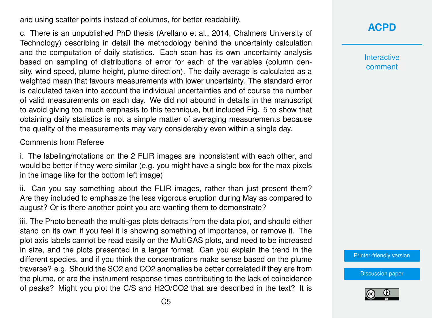and using scatter points instead of columns, for better readability.

c. There is an unpublished PhD thesis (Arellano et al., 2014, Chalmers University of Technology) describing in detail the methodology behind the uncertainty calculation and the computation of daily statistics. Each scan has its own uncertainty analysis based on sampling of distributions of error for each of the variables (column density, wind speed, plume height, plume direction). The daily average is calculated as a weighted mean that favours measurements with lower uncertainty. The standard error is calculated taken into account the individual uncertainties and of course the number of valid measurements on each day. We did not abound in details in the manuscript to avoid giving too much emphasis to this technique, but included Fig. 5 to show that obtaining daily statistics is not a simple matter of averaging measurements because the quality of the measurements may vary considerably even within a single day.

Comments from Referee

i. The labeling/notations on the 2 FLIR images are inconsistent with each other, and would be better if they were similar (e.g. you might have a single box for the max pixels in the image like for the bottom left image)

ii. Can you say something about the FLIR images, rather than just present them? Are they included to emphasize the less vigorous eruption during May as compared to august? Or is there another point you are wanting them to demonstrate?

iii. The Photo beneath the multi-gas plots detracts from the data plot, and should either stand on its own if you feel it is showing something of importance, or remove it. The plot axis labels cannot be read easily on the MultiGAS plots, and need to be increased in size, and the plots presented in a larger format. Can you explain the trend in the different species, and if you think the concentrations make sense based on the plume traverse? e.g. Should the SO2 and CO2 anomalies be better correlated if they are from the plume, or are the instrument response times contributing to the lack of coincidence of peaks? Might you plot the C/S and H2O/CO2 that are described in the text? It is **[ACPD](http://www.atmos-chem-phys-discuss.net/)**

**Interactive** comment

[Printer-friendly version](http://www.atmos-chem-phys-discuss.net/acp-2016-865/acp-2016-865-AC5-print.pdf)

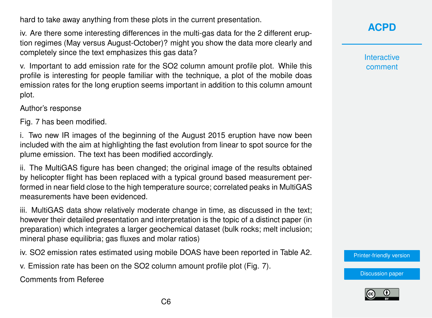hard to take away anything from these plots in the current presentation.

iv. Are there some interesting differences in the multi-gas data for the 2 different eruption regimes (May versus August-October)? might you show the data more clearly and completely since the text emphasizes this gas data?

v. Important to add emission rate for the SO2 column amount profile plot. While this profile is interesting for people familiar with the technique, a plot of the mobile doas emission rates for the long eruption seems important in addition to this column amount plot.

Author's response

Fig. 7 has been modified.

i. Two new IR images of the beginning of the August 2015 eruption have now been included with the aim at highlighting the fast evolution from linear to spot source for the plume emission. The text has been modified accordingly.

ii. The MultiGAS figure has been changed; the original image of the results obtained by helicopter flight has been replaced with a typical ground based measurement performed in near field close to the high temperature source; correlated peaks in MultiGAS measurements have been evidenced.

iii. MultiGAS data show relatively moderate change in time, as discussed in the text; however their detailed presentation and interpretation is the topic of a distinct paper (in preparation) which integrates a larger geochemical dataset (bulk rocks; melt inclusion; mineral phase equilibria; gas fluxes and molar ratios)

iv. SO2 emission rates estimated using mobile DOAS have been reported in Table A2.

v. Emission rate has been on the SO2 column amount profile plot (Fig. 7).

Comments from Referee

**Interactive** comment

[Printer-friendly version](http://www.atmos-chem-phys-discuss.net/acp-2016-865/acp-2016-865-AC5-print.pdf)

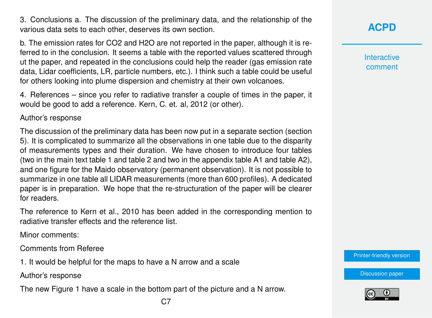3. Conclusions a. The discussion of the preliminary data, and the relationship of the various data sets to each other, deserves its own section.

b. The emission rates for CO2 and H2O are not reported in the paper, although it is referred to in the conclusion. It seems a table with the reported values scattered through ut the paper, and repeated in the conclusions could help the reader (gas emission rate data, Lidar coefficients, LR, particle numbers, etc.). I think such a table could be useful for others looking into plume dispersion and chemistry at their own volcanoes.

4. References – since you refer to radiative transfer a couple of times in the paper, it would be good to add a reference. Kern, C. et. al, 2012 (or other).

Author's response

The discussion of the preliminary data has been now put in a separate section (section 5). It is complicated to summarize all the observations in one table due to the disparity of measurements types and their duration. We have chosen to introduce four tables (two in the main text table 1 and table 2 and two in the appendix table A1 and table A2), and one figure for the Maido observatory (permanent observation). It is not possible to summarize in one table all LIDAR measurements (more than 600 profiles). A dedicated paper is in preparation. We hope that the re-structuration of the paper will be clearer for readers.

The reference to Kern et al., 2010 has been added in the corresponding mention to radiative transfer effects and the reference list.

Minor comments:

Comments from Referee

1. It would be helpful for the maps to have a N arrow and a scale

Author's response

The new Figure 1 have a scale in the bottom part of the picture and a N arrow.

**Interactive** comment

[Printer-friendly version](http://www.atmos-chem-phys-discuss.net/acp-2016-865/acp-2016-865-AC5-print.pdf)

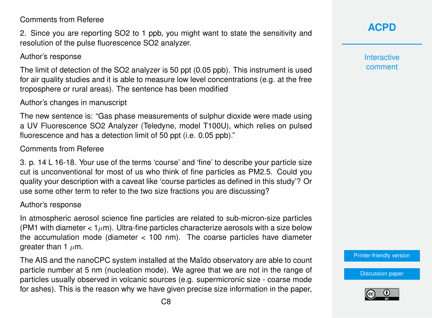Comments from Referee

2. Since you are reporting SO2 to 1 ppb, you might want to state the sensitivity and resolution of the pulse fluorescence SO2 analyzer.

### Author's response

The limit of detection of the SO2 analyzer is 50 ppt (0.05 ppb). This instrument is used for air quality studies and it is able to measure low level concentrations (e.g. at the free troposphere or rural areas). The sentence has been modified

### Author's changes in manuscript

The new sentence is: "Gas phase measurements of sulphur dioxide were made using a UV Fluorescence SO2 Analyzer (Teledyne, model T100U), which relies on pulsed fluorescence and has a detection limit of 50 ppt (i.e. 0.05 ppb)."

#### Comments from Referee

3. p. 14 L 16-18. Your use of the terms 'course' and 'fine' to describe your particle size cut is unconventional for most of us who think of fine particles as PM2.5. Could you quality your description with a caveat like 'course particles as defined in this study'? Or use some other term to refer to the two size fractions you are discussing?

#### Author's response

In atmospheric aerosol science fine particles are related to sub-micron-size particles (PM1 with diameter  $< 1 \mu m$ ). Ultra-fine particles characterize aerosols with a size below the accumulation mode (diameter < 100 nm). The coarse particles have diameter greater than 1  $\mu$ m.

The AIS and the nanoCPC system installed at the Maïdo observatory are able to count particle number at 5 nm (nucleation mode). We agree that we are not in the range of particles usually observed in volcanic sources (e.g. supermicronic size - coarse mode for ashes). This is the reason why we have given precise size information in the paper,

### **[ACPD](http://www.atmos-chem-phys-discuss.net/)**

**Interactive** comment

[Printer-friendly version](http://www.atmos-chem-phys-discuss.net/acp-2016-865/acp-2016-865-AC5-print.pdf)

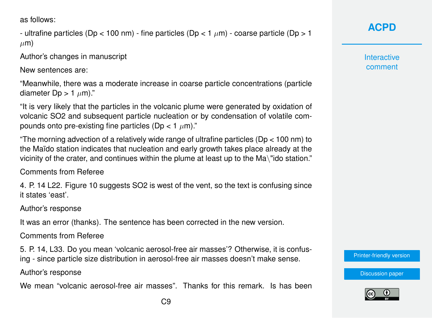as follows:

```
- ultrafine particles (Dp < 100 nm) - fine particles (Dp < 1 \mum) - coarse particle (Dp > 1
\mum)
```
Author's changes in manuscript

New sentences are:

"Meanwhile, there was a moderate increase in coarse particle concentrations (particle diameter Dp  $> 1 \mu$ m)."

"It is very likely that the particles in the volcanic plume were generated by oxidation of volcanic SO2 and subsequent particle nucleation or by condensation of volatile compounds onto pre-existing fine particles (Dp < 1  $\mu$ m)."

"The morning advection of a relatively wide range of ultrafine particles (Dp < 100 nm) to the Maïdo station indicates that nucleation and early growth takes place already at the vicinity of the crater, and continues within the plume at least up to the Ma\"ido station."

Comments from Referee

4. P. 14 L22. Figure 10 suggests SO2 is west of the vent, so the text is confusing since it states 'east'.

Author's response

It was an error (thanks). The sentence has been corrected in the new version.

Comments from Referee

5. P. 14, L33. Do you mean 'volcanic aerosol-free air masses'? Otherwise, it is confusing - since particle size distribution in aerosol-free air masses doesn't make sense.

Author's response

We mean "volcanic aerosol-free air masses". Thanks for this remark. Is has been

**[ACPD](http://www.atmos-chem-phys-discuss.net/)**

**Interactive** comment

[Printer-friendly version](http://www.atmos-chem-phys-discuss.net/acp-2016-865/acp-2016-865-AC5-print.pdf)

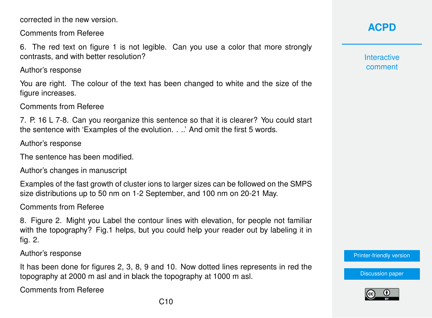corrected in the new version.

Comments from Referee

6. The red text on figure 1 is not legible. Can you use a color that more strongly contrasts, and with better resolution?

Author's response

You are right. The colour of the text has been changed to white and the size of the figure increases.

Comments from Referee

7. P. 16 L 7-8. Can you reorganize this sentence so that it is clearer? You could start the sentence with 'Examples of the evolution. . ..' And omit the first 5 words.

Author's response

The sentence has been modified.

Author's changes in manuscript

Examples of the fast growth of cluster ions to larger sizes can be followed on the SMPS size distributions up to 50 nm on 1-2 September, and 100 nm on 20-21 May.

Comments from Referee

8. Figure 2. Might you Label the contour lines with elevation, for people not familiar with the topography? Fig.1 helps, but you could help your reader out by labeling it in fig. 2.

Author's response

It has been done for figures 2, 3, 8, 9 and 10. Now dotted lines represents in red the topography at 2000 m asl and in black the topography at 1000 m asl.

Comments from Referee

**Interactive** comment

[Printer-friendly version](http://www.atmos-chem-phys-discuss.net/acp-2016-865/acp-2016-865-AC5-print.pdf)

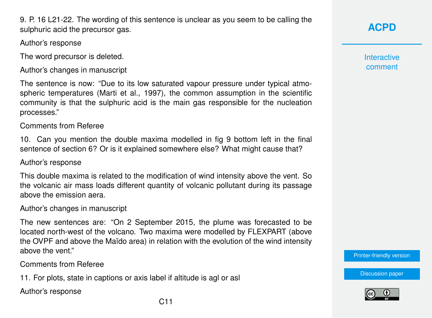9. P. 16 L21-22. The wording of this sentence is unclear as you seem to be calling the sulphuric acid the precursor gas.

### Author's response

The word precursor is deleted.

Author's changes in manuscript

The sentence is now: "Due to its low saturated vapour pressure under typical atmospheric temperatures (Marti et al., 1997), the common assumption in the scientific community is that the sulphuric acid is the main gas responsible for the nucleation processes."

### Comments from Referee

10. Can you mention the double maxima modelled in fig 9 bottom left in the final sentence of section 6? Or is it explained somewhere else? What might cause that?

### Author's response

This double maxima is related to the modification of wind intensity above the vent. So the volcanic air mass loads different quantity of volcanic pollutant during its passage above the emission aera.

### Author's changes in manuscript

The new sentences are: "On 2 September 2015, the plume was forecasted to be located north-west of the volcano. Two maxima were modelled by FLEXPART (above the OVPF and above the Maïdo area) in relation with the evolution of the wind intensity above the vent."

Comments from Referee

11. For plots, state in captions or axis label if altitude is agl or asl

Author's response

**Interactive** comment

[Printer-friendly version](http://www.atmos-chem-phys-discuss.net/acp-2016-865/acp-2016-865-AC5-print.pdf)

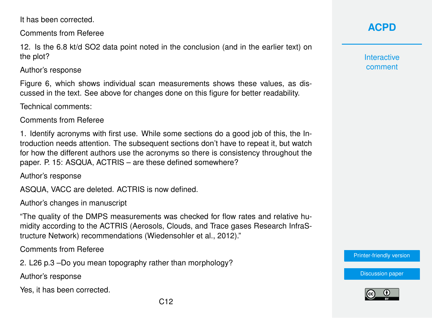It has been corrected.

Comments from Referee

12. Is the 6.8 kt/d SO2 data point noted in the conclusion (and in the earlier text) on the plot?

Author's response

Figure 6, which shows individual scan measurements shows these values, as discussed in the text. See above for changes done on this figure for better readability.

Technical comments:

Comments from Referee

1. Identify acronyms with first use. While some sections do a good job of this, the Introduction needs attention. The subsequent sections don't have to repeat it, but watch for how the different authors use the acronyms so there is consistency throughout the paper. P. 15: ASQUA, ACTRIS – are these defined somewhere?

Author's response

ASQUA, VACC are deleted. ACTRIS is now defined.

Author's changes in manuscript

"The quality of the DMPS measurements was checked for flow rates and relative humidity according to the ACTRIS (Aerosols, Clouds, and Trace gases Research InfraStructure Network) recommendations (Wiedensohler et al., 2012)."

Comments from Referee

2. L26 p.3 –Do you mean topography rather than morphology?

Author's response

Yes, it has been corrected.

**Interactive** comment

[Printer-friendly version](http://www.atmos-chem-phys-discuss.net/acp-2016-865/acp-2016-865-AC5-print.pdf)

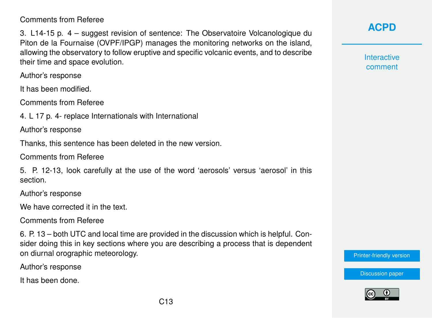### Comments from Referee

3. L14-15 p. 4 – suggest revision of sentence: The Observatoire Volcanologique du Piton de la Fournaise (OVPF/IPGP) manages the monitoring networks on the island, allowing the observatory to follow eruptive and specific volcanic events, and to describe their time and space evolution.

Author's response

It has been modified.

Comments from Referee

4. L 17 p. 4- replace Internationals with International

Author's response

Thanks, this sentence has been deleted in the new version.

Comments from Referee

5. P. 12-13, look carefully at the use of the word 'aerosols' versus 'aerosol' in this section.

Author's response

We have corrected it in the text.

Comments from Referee

6. P. 13 – both UTC and local time are provided in the discussion which is helpful. Consider doing this in key sections where you are describing a process that is dependent on diurnal orographic meteorology.

Author's response

It has been done.

### **[ACPD](http://www.atmos-chem-phys-discuss.net/)**

**Interactive** comment

[Printer-friendly version](http://www.atmos-chem-phys-discuss.net/acp-2016-865/acp-2016-865-AC5-print.pdf)

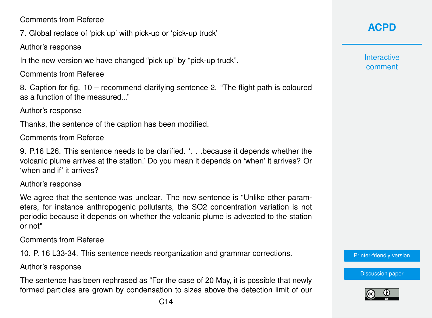Comments from Referee

7. Global replace of 'pick up' with pick-up or 'pick-up truck'

Author's response

In the new version we have changed "pick up" by "pick-up truck".

Comments from Referee

8. Caption for fig. 10 – recommend clarifying sentence 2. "The flight path is coloured as a function of the measured..."

Author's response

Thanks, the sentence of the caption has been modified.

Comments from Referee

9. P.16 L26. This sentence needs to be clarified. '. . .because it depends whether the volcanic plume arrives at the station.' Do you mean it depends on 'when' it arrives? Or 'when and if' it arrives?

Author's response

We agree that the sentence was unclear. The new sentence is "Unlike other parameters, for instance anthropogenic pollutants, the SO2 concentration variation is not periodic because it depends on whether the volcanic plume is advected to the station or not"

Comments from Referee

10. P. 16 L33-34. This sentence needs reorganization and grammar corrections.

Author's response

The sentence has been rephrased as "For the case of 20 May, it is possible that newly formed particles are grown by condensation to sizes above the detection limit of our **[ACPD](http://www.atmos-chem-phys-discuss.net/)**

**Interactive** comment

[Printer-friendly version](http://www.atmos-chem-phys-discuss.net/acp-2016-865/acp-2016-865-AC5-print.pdf)

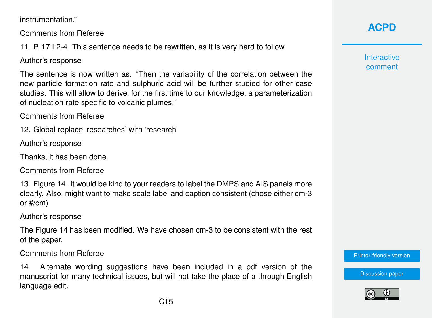instrumentation."

Comments from Referee

11. P. 17 L2-4. This sentence needs to be rewritten, as it is very hard to follow.

Author's response

The sentence is now written as: "Then the variability of the correlation between the new particle formation rate and sulphuric acid will be further studied for other case studies. This will allow to derive, for the first time to our knowledge, a parameterization of nucleation rate specific to volcanic plumes."

Comments from Referee

12. Global replace 'researches' with 'research'

Author's response

Thanks, it has been done.

Comments from Referee

13. Figure 14. It would be kind to your readers to label the DMPS and AIS panels more clearly. Also, might want to make scale label and caption consistent (chose either cm-3 or #/cm)

Author's response

The Figure 14 has been modified. We have chosen cm-3 to be consistent with the rest of the paper.

Comments from Referee

14. Alternate wording suggestions have been included in a pdf version of the manuscript for many technical issues, but will not take the place of a through English language edit.

# **[ACPD](http://www.atmos-chem-phys-discuss.net/)**

**Interactive** comment

[Printer-friendly version](http://www.atmos-chem-phys-discuss.net/acp-2016-865/acp-2016-865-AC5-print.pdf)

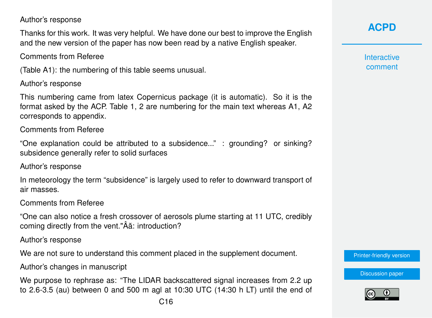### Author's response

Thanks for this work. It was very helpful. We have done our best to improve the English and the new version of the paper has now been read by a native English speaker.

Comments from Referee

(Table A1): the numbering of this table seems unusual.

Author's response

This numbering came from latex Copernicus package (it is automatic). So it is the format asked by the ACP. Table 1, 2 are numbering for the main text whereas A1, A2 corresponds to appendix.

Comments from Referee

"One explanation could be attributed to a subsidence..." : grounding? or sinking? subsidence generally refer to solid surfaces

Author's response

In meteorology the term "subsidence" is largely used to refer to downward transport of air masses.

Comments from Referee

"One can also notice a fresh crossover of aerosols plume starting at 11 UTC, credibly coming directly from the vent."Âă: introduction?

Author's response

We are not sure to understand this comment placed in the supplement document.

Author's changes in manuscript

We purpose to rephrase as: "The LIDAR backscattered signal increases from 2.2 up to 2.6-3.5 (au) between 0 and 500 m agl at 10:30 UTC (14:30 h LT) until the end of **[ACPD](http://www.atmos-chem-phys-discuss.net/)**

**Interactive** comment

[Printer-friendly version](http://www.atmos-chem-phys-discuss.net/acp-2016-865/acp-2016-865-AC5-print.pdf)

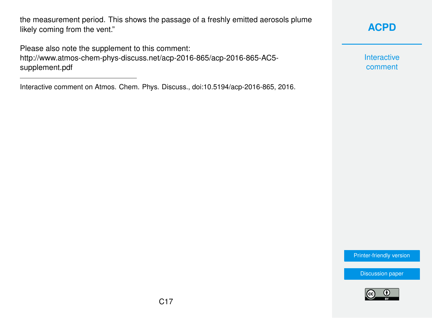the measurement period. This shows the passage of a freshly emitted aerosols plume likely coming from the vent."

Please also note the supplement to this comment: [http://www.atmos-chem-phys-discuss.net/acp-2016-865/acp-2016-865-AC5](http://www.atmos-chem-phys-discuss.net/acp-2016-865/acp-2016-865-AC5-supplement.pdf) [supplement.pdf](http://www.atmos-chem-phys-discuss.net/acp-2016-865/acp-2016-865-AC5-supplement.pdf)

Interactive comment on Atmos. Chem. Phys. Discuss., doi:10.5194/acp-2016-865, 2016.

**[ACPD](http://www.atmos-chem-phys-discuss.net/)**

Interactive comment

[Printer-friendly version](http://www.atmos-chem-phys-discuss.net/acp-2016-865/acp-2016-865-AC5-print.pdf)